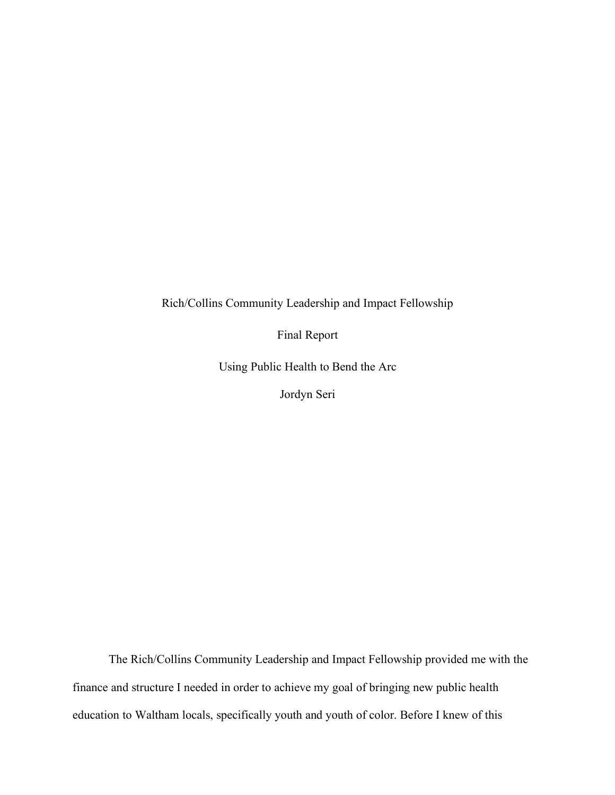Rich/Collins Community Leadership and Impact Fellowship

Final Report

Using Public Health to Bend the Arc

Jordyn Seri

 finance and structure I needed in order to achieve my goal of bringing new public health education to Waltham locals, specifically youth and youth of color. Before I knew of this The Rich/Collins Community Leadership and Impact Fellowship provided me with the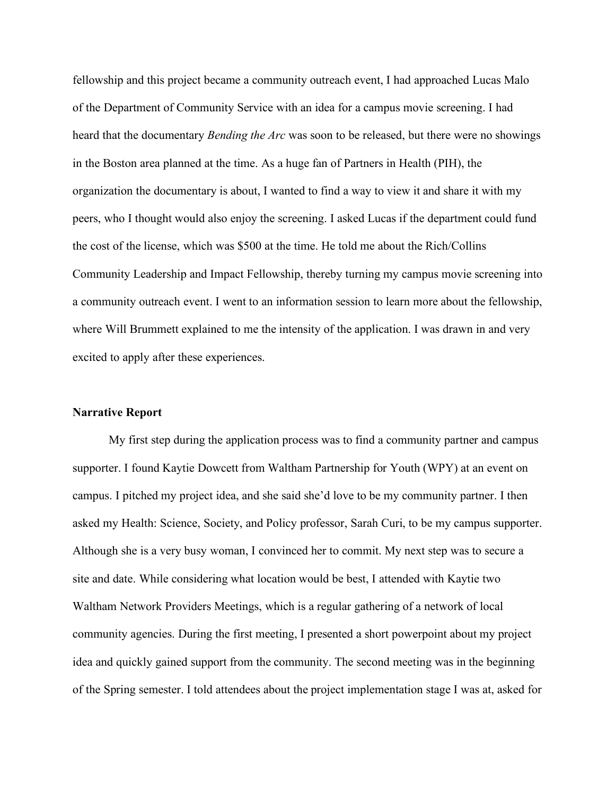fellowship and this project became a community outreach event, I had approached Lucas Malo of the Department of Community Service with an idea for a campus movie screening. I had heard that the documentary *Bending the Arc* was soon to be released, but there were no showings in the Boston area planned at the time. As a huge fan of Partners in Health (PIH), the organization the documentary is about, I wanted to find a way to view it and share it with my peers, who I thought would also enjoy the screening. I asked Lucas if the department could fund the cost of the license, which was \$500 at the time. He told me about the Rich/Collins Community Leadership and Impact Fellowship, thereby turning my campus movie screening into a community outreach event. I went to an information session to learn more about the fellowship, where Will Brummett explained to me the intensity of the application. I was drawn in and very excited to apply after these experiences.

### **Narrative Report**

 My first step during the application process was to find a community partner and campus supporter. I found Kaytie Dowcett from Waltham Partnership for Youth (WPY) at an event on campus. I pitched my project idea, and she said she'd love to be my community partner. I then asked my Health: Science, Society, and Policy professor, Sarah Curi, to be my campus supporter. Although she is a very busy woman, I convinced her to commit. My next step was to secure a site and date. While considering what location would be best, I attended with Kaytie two Waltham Network Providers Meetings, which is a regular gathering of a network of local community agencies. During the first meeting, I presented a short powerpoint about my project idea and quickly gained support from the community. The second meeting was in the beginning of the Spring semester. I told attendees about the project implementation stage I was at, asked for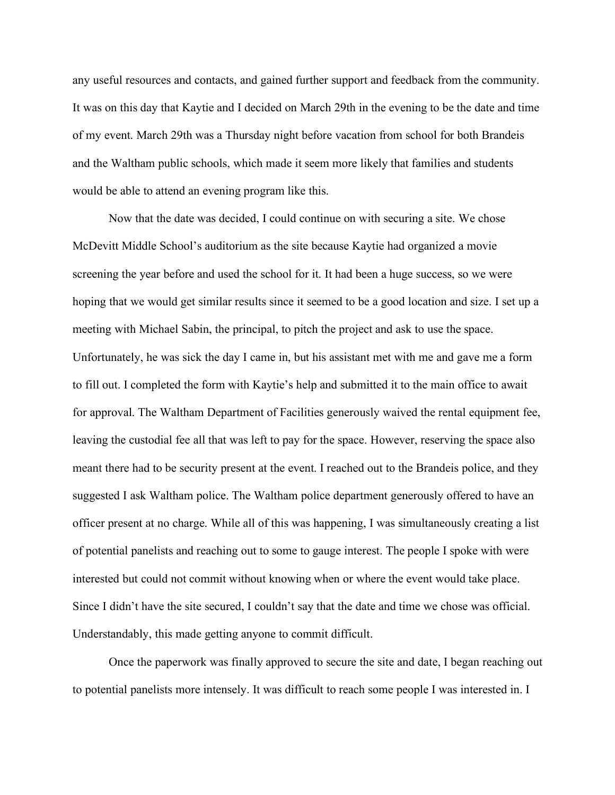any useful resources and contacts, and gained further support and feedback from the community. It was on this day that Kaytie and I decided on March 29th in the evening to be the date and time of my event. March 29th was a Thursday night before vacation from school for both Brandeis and the Waltham public schools, which made it seem more likely that families and students would be able to attend an evening program like this.

 Now that the date was decided, I could continue on with securing a site. We chose McDevitt Middle School's auditorium as the site because Kaytie had organized a movie screening the year before and used the school for it. It had been a huge success, so we were hoping that we would get similar results since it seemed to be a good location and size. I set up a meeting with Michael Sabin, the principal, to pitch the project and ask to use the space. Unfortunately, he was sick the day I came in, but his assistant met with me and gave me a form to fill out. I completed the form with Kaytie's help and submitted it to the main office to await for approval. The Waltham Department of Facilities generously waived the rental equipment fee, leaving the custodial fee all that was left to pay for the space. However, reserving the space also meant there had to be security present at the event. I reached out to the Brandeis police, and they suggested I ask Waltham police. The Waltham police department generously offered to have an officer present at no charge. While all of this was happening, I was simultaneously creating a list of potential panelists and reaching out to some to gauge interest. The people I spoke with were interested but could not commit without knowing when or where the event would take place. Since I didn't have the site secured, I couldn't say that the date and time we chose was official. Understandably, this made getting anyone to commit difficult.

 Once the paperwork was finally approved to secure the site and date, I began reaching out to potential panelists more intensely. It was difficult to reach some people I was interested in. I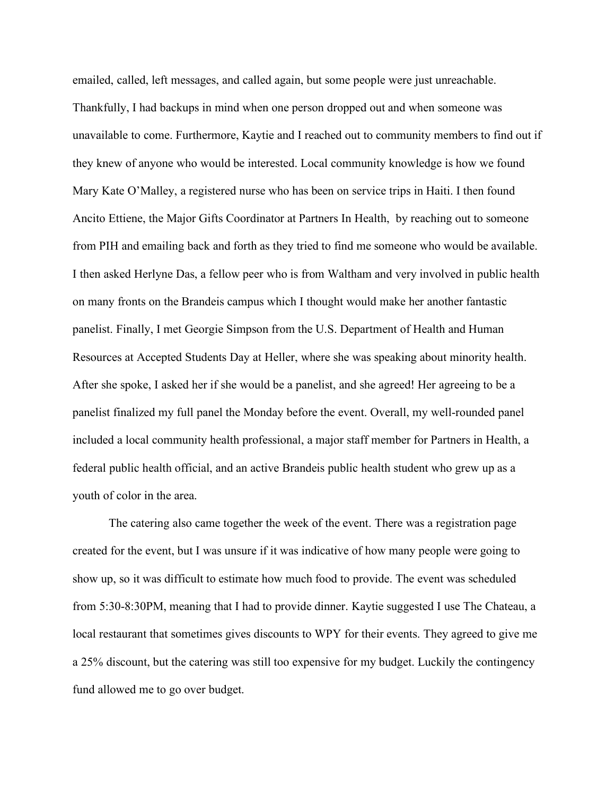emailed, called, left messages, and called again, but some people were just unreachable. Thankfully, I had backups in mind when one person dropped out and when someone was unavailable to come. Furthermore, Kaytie and I reached out to community members to find out if they knew of anyone who would be interested. Local community knowledge is how we found Mary Kate O'Malley, a registered nurse who has been on service trips in Haiti. I then found Ancito Ettiene, the Major Gifts Coordinator at Partners In Health, by reaching out to someone from PIH and emailing back and forth as they tried to find me someone who would be available. I then asked Herlyne Das, a fellow peer who is from Waltham and very involved in public health on many fronts on the Brandeis campus which I thought would make her another fantastic panelist. Finally, I met Georgie Simpson from the U.S. Department of Health and Human Resources at Accepted Students Day at Heller, where she was speaking about minority health. After she spoke, I asked her if she would be a panelist, and she agreed! Her agreeing to be a panelist finalized my full panel the Monday before the event. Overall, my well-rounded panel included a local community health professional, a major staff member for Partners in Health, a federal public health official, and an active Brandeis public health student who grew up as a youth of color in the area.

 The catering also came together the week of the event. There was a registration page created for the event, but I was unsure if it was indicative of how many people were going to show up, so it was difficult to estimate how much food to provide. The event was scheduled from 5:30-8:30PM, meaning that I had to provide dinner. Kaytie suggested I use The Chateau, a local restaurant that sometimes gives discounts to WPY for their events. They agreed to give me a 25% discount, but the catering was still too expensive for my budget. Luckily the contingency fund allowed me to go over budget.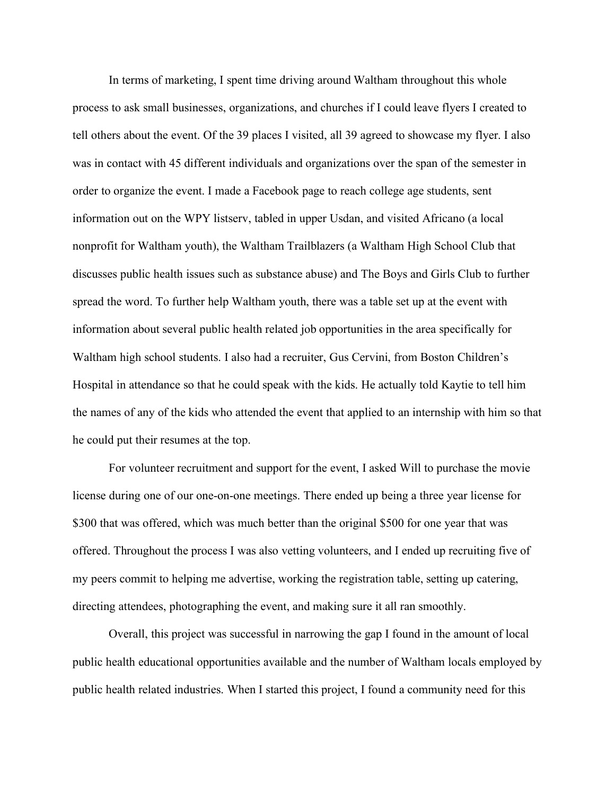In terms of marketing, I spent time driving around Waltham throughout this whole process to ask small businesses, organizations, and churches if I could leave flyers I created to tell others about the event. Of the 39 places I visited, all 39 agreed to showcase my flyer. I also was in contact with 45 different individuals and organizations over the span of the semester in order to organize the event. I made a Facebook page to reach college age students, sent information out on the WPY listserv, tabled in upper Usdan, and visited Africano (a local nonprofit for Waltham youth), the Waltham Trailblazers (a Waltham High School Club that discusses public health issues such as substance abuse) and The Boys and Girls Club to further spread the word. To further help Waltham youth, there was a table set up at the event with information about several public health related job opportunities in the area specifically for Waltham high school students. I also had a recruiter, Gus Cervini, from Boston Children's Hospital in attendance so that he could speak with the kids. He actually told Kaytie to tell him the names of any of the kids who attended the event that applied to an internship with him so that he could put their resumes at the top.

 For volunteer recruitment and support for the event, I asked Will to purchase the movie license during one of our one-on-one meetings. There ended up being a three year license for \$300 that was offered, which was much better than the original \$500 for one year that was offered. Throughout the process I was also vetting volunteers, and I ended up recruiting five of my peers commit to helping me advertise, working the registration table, setting up catering, directing attendees, photographing the event, and making sure it all ran smoothly.

 Overall, this project was successful in narrowing the gap I found in the amount of local public health educational opportunities available and the number of Waltham locals employed by public health related industries. When I started this project, I found a community need for this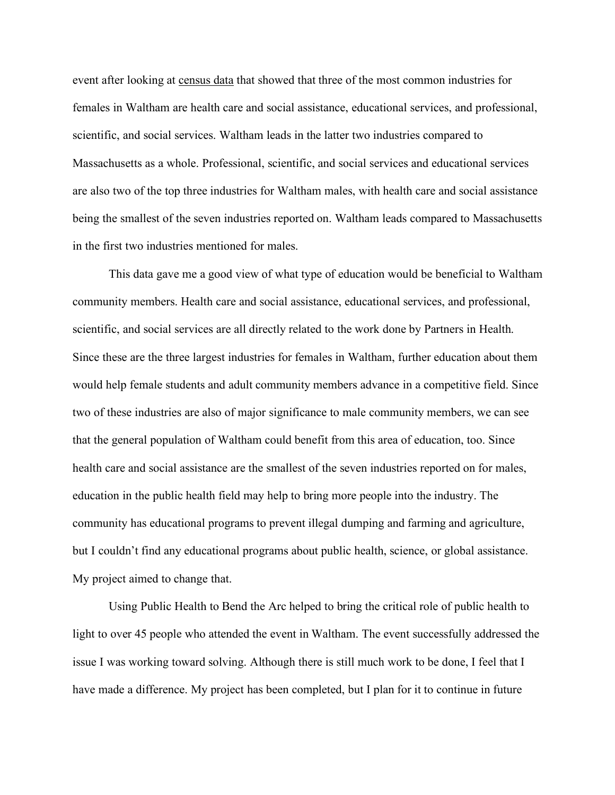event after looking at census data that showed that three of the most common industries for females in Waltham are health care and social assistance, educational services, and professional, scientific, and social services. Waltham leads in the latter two industries compared to Massachusetts as a whole. Professional, scientific, and social services and educational services are also two of the top three industries for Waltham males, with health care and social assistance being the smallest of the seven industries reported on. Waltham leads compared to Massachusetts in the first two industries mentioned for males.

 This data gave me a good view of what type of education would be beneficial to Waltham community members. Health care and social assistance, educational services, and professional, scientific, and social services are all directly related to the work done by Partners in Health. Since these are the three largest industries for females in Waltham, further education about them would help female students and adult community members advance in a competitive field. Since two of these industries are also of major significance to male community members, we can see that the general population of Waltham could benefit from this area of education, too. Since health care and social assistance are the smallest of the seven industries reported on for males, education in the public health field may help to bring more people into the industry. The community has educational programs to prevent illegal dumping and farming and agriculture, but I couldn't find any educational programs about public health, science, or global assistance. My project aimed to change that.

 Using Public Health to Bend the Arc helped to bring the critical role of public health to light to over 45 people who attended the event in Waltham. The event successfully addressed the issue I was working toward solving. Although there is still much work to be done, I feel that I have made a difference. My project has been completed, but I plan for it to continue in future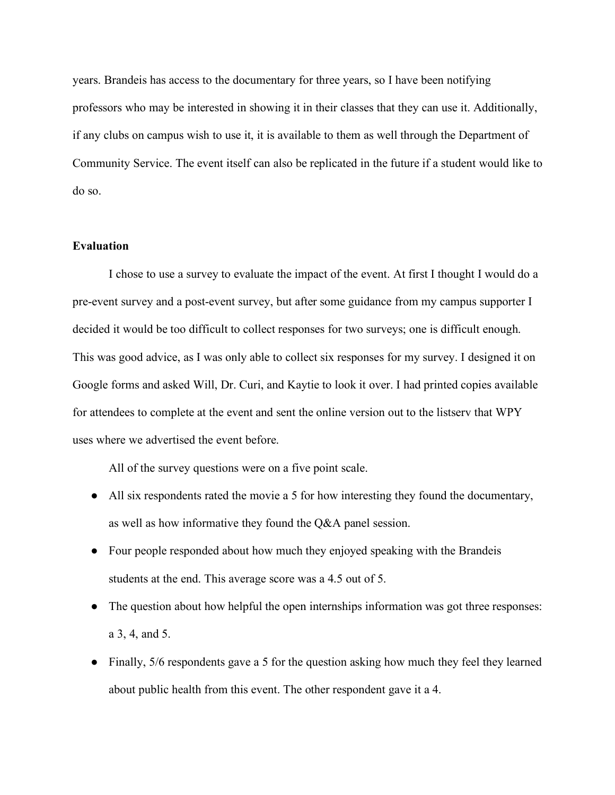years. Brandeis has access to the documentary for three years, so I have been notifying professors who may be interested in showing it in their classes that they can use it. Additionally, if any clubs on campus wish to use it, it is available to them as well through the Department of Community Service. The event itself can also be replicated in the future if a student would like to do so.

#### **Evaluation**

 I chose to use a survey to evaluate the impact of the event. At first I thought I would do a pre-event survey and a post-event survey, but after some guidance from my campus supporter I decided it would be too difficult to collect responses for two surveys; one is difficult enough. This was good advice, as I was only able to collect six responses for my survey. I designed it on Google forms and asked Will, Dr. Curi, and Kaytie to look it over. I had printed copies available for attendees to complete at the event and sent the online version out to the listserv that WPY uses where we advertised the event before.

All of the survey questions were on a five point scale.

- All six respondents rated the movie a 5 for how interesting they found the documentary, as well as how informative they found the Q&A panel session.
- Four people responded about how much they enjoyed speaking with the Brandeis students at the end. This average score was a 4.5 out of 5.
- The question about how helpful the open internships information was got three responses: a 3, 4, and 5.
- Finally, 5/6 respondents gave a 5 for the question asking how much they feel they learned about public health from this event. The other respondent gave it a 4.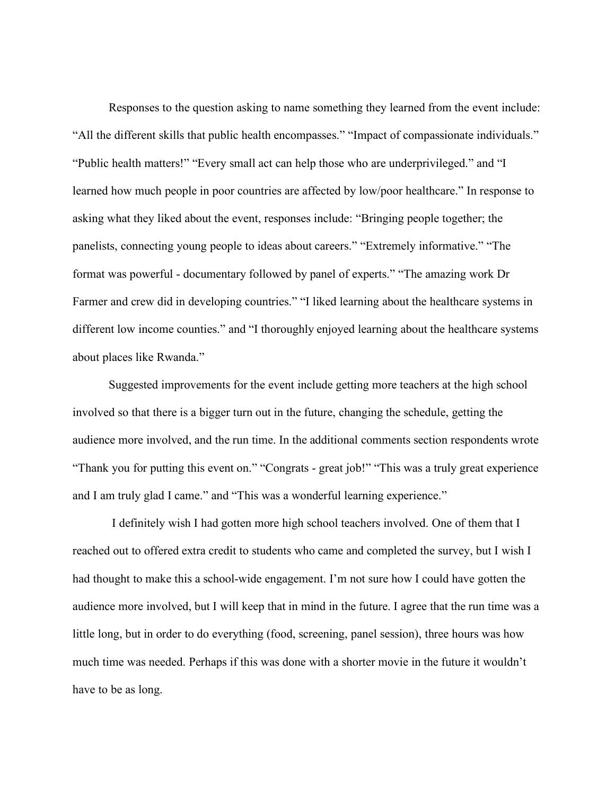Responses to the question asking to name something they learned from the event include: "All the different skills that public health encompasses." "Impact of compassionate individuals." "Public health matters!" "Every small act can help those who are underprivileged." and "I learned how much people in poor countries are affected by low/poor healthcare." In response to asking what they liked about the event, responses include: "Bringing people together; the panelists, connecting young people to ideas about careers." "Extremely informative." "The format was powerful - documentary followed by panel of experts." "The amazing work Dr Farmer and crew did in developing countries." "I liked learning about the healthcare systems in different low income counties." and "I thoroughly enjoyed learning about the healthcare systems about places like Rwanda."

 Suggested improvements for the event include getting more teachers at the high school involved so that there is a bigger turn out in the future, changing the schedule, getting the audience more involved, and the run time. In the additional comments section respondents wrote "Thank you for putting this event on." "Congrats - great job!" "This was a truly great experience and I am truly glad I came." and "This was a wonderful learning experience."

 I definitely wish I had gotten more high school teachers involved. One of them that I reached out to offered extra credit to students who came and completed the survey, but I wish I had thought to make this a school-wide engagement. I'm not sure how I could have gotten the audience more involved, but I will keep that in mind in the future. I agree that the run time was a little long, but in order to do everything (food, screening, panel session), three hours was how much time was needed. Perhaps if this was done with a shorter movie in the future it wouldn't have to be as long.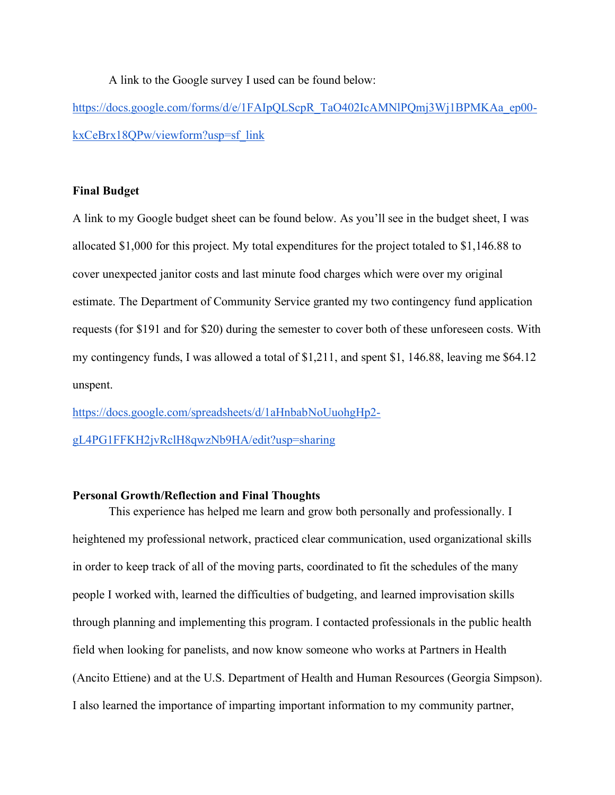A link to the Google survey I used can be found below:

[https://docs.google.com/forms/d/e/1FAIpQLScpR\\_TaO402IcAMNlPQmj3Wj1BPMKAa\\_ep00](https://docs.google.com/forms/d/e/1FAIpQLScpR_TaO402IcAMNlPQmj3Wj1BPMKAa_ep00) kxCeBrx18QPw/viewform?usp=sf\_link

### **Final Budget**

 A link to my Google budget sheet can be found below. As you'll see in the budget sheet, I was allocated \$1,000 for this project. My total expenditures for the project totaled to \$[1,146.88](https://1,146.88) to cover unexpected janitor costs and last minute food charges which were over my original estimate. The Department of Community Service granted my two contingency fund application requests (for \$191 and for \$20) during the semester to cover both of these unforeseen costs. With my contingency funds, I was allowed a total of \$1,211, and spent \$1, 146.88, leaving me \$64.12 unspent.

[https://docs.google.com/spreadsheets/d/1aHnbabNoUuohgHp2-](https://docs.google.com/spreadsheets/d/1aHnbabNoUuohgHp2)

gL4PG1FFKH2jvRclH8qwzNb9HA/edit?usp=sharing

### **Personal Growth/Reflection and Final Thoughts**

 heightened my professional network, practiced clear communication, used organizational skills in order to keep track of all of the moving parts, coordinated to fit the schedules of the many people I worked with, learned the difficulties of budgeting, and learned improvisation skills through planning and implementing this program. I contacted professionals in the public health field when looking for panelists, and now know someone who works at Partners in Health (Ancito Ettiene) and at the U.S. Department of Health and Human Resources (Georgia Simpson). I also learned the importance of imparting important information to my community partner, This experience has helped me learn and grow both personally and professionally. I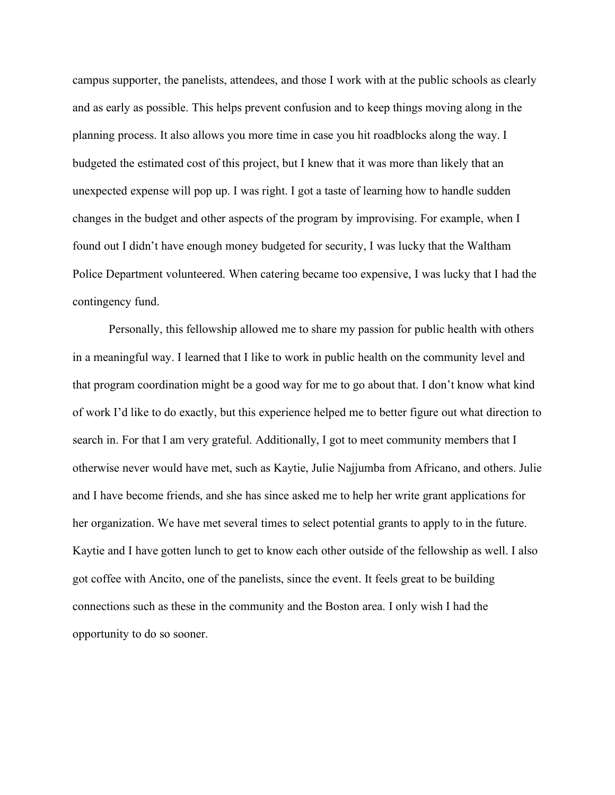campus supporter, the panelists, attendees, and those I work with at the public schools as clearly and as early as possible. This helps prevent confusion and to keep things moving along in the planning process. It also allows you more time in case you hit roadblocks along the way. I budgeted the estimated cost of this project, but I knew that it was more than likely that an unexpected expense will pop up. I was right. I got a taste of learning how to handle sudden changes in the budget and other aspects of the program by improvising. For example, when I found out I didn't have enough money budgeted for security, I was lucky that the Waltham Police Department volunteered. When catering became too expensive, I was lucky that I had the contingency fund.

 Personally, this fellowship allowed me to share my passion for public health with others in a meaningful way. I learned that I like to work in public health on the community level and that program coordination might be a good way for me to go about that. I don't know what kind of work I'd like to do exactly, but this experience helped me to better figure out what direction to search in. For that I am very grateful. Additionally, I got to meet community members that I otherwise never would have met, such as Kaytie, Julie Najjumba from Africano, and others. Julie and I have become friends, and she has since asked me to help her write grant applications for her organization. We have met several times to select potential grants to apply to in the future. Kaytie and I have gotten lunch to get to know each other outside of the fellowship as well. I also got coffee with Ancito, one of the panelists, since the event. It feels great to be building connections such as these in the community and the Boston area. I only wish I had the opportunity to do so sooner.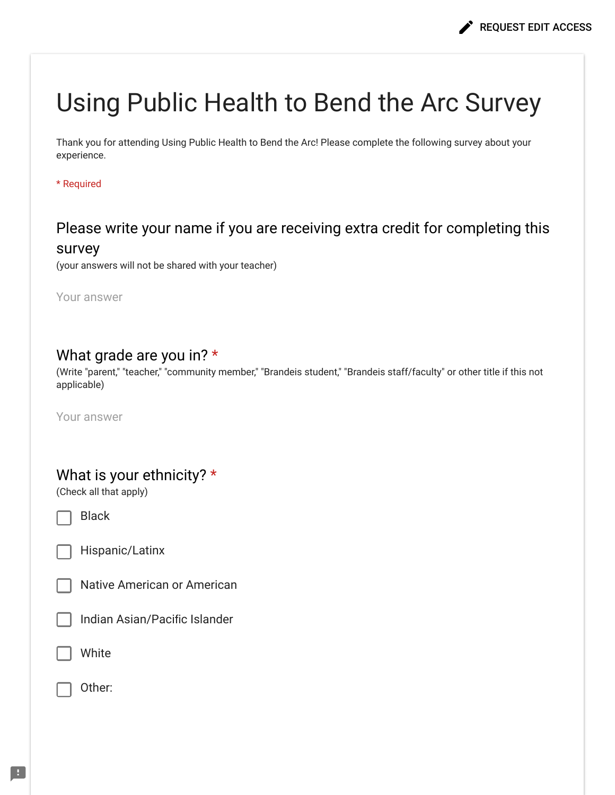# Using Public Health to Bend the Arc Survey

Thank you for attending Using Public Health to Bend the Arc! Please complete the following survey about your experience.

\* Required

## Please write your name if you are receiving extra credit for completing this

### survey

(your answers will not be shared with your teacher)

Your answer

### What grade are you in? \*

(Write "parent," "teacher," "community member," "Brandeis student," "Brandeis staff/faculty" or other title if this not applicable)

Your answer

|  |  | What is your ethnicity? $*$ |  |
|--|--|-----------------------------|--|
|--|--|-----------------------------|--|

(Check all that apply)

Black

Hispanic/Latinx

Native American or American

Indian Asian/Pacific Islander

White

Other: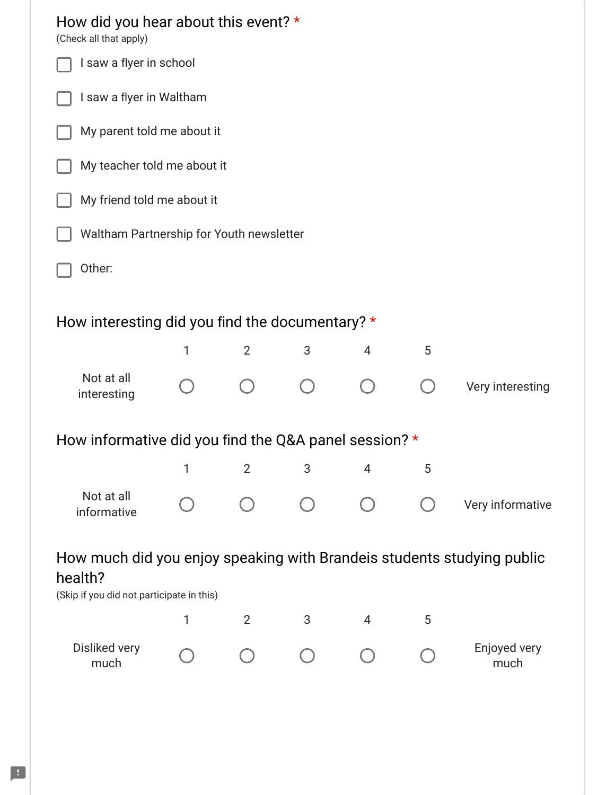| How did you hear about this event? $*$<br>(Check all that apply)                                                               |                                          |                |   |                |        |                      |  |  |
|--------------------------------------------------------------------------------------------------------------------------------|------------------------------------------|----------------|---|----------------|--------|----------------------|--|--|
|                                                                                                                                | I saw a flyer in school                  |                |   |                |        |                      |  |  |
|                                                                                                                                | I saw a flyer in Waltham                 |                |   |                |        |                      |  |  |
|                                                                                                                                | My parent told me about it               |                |   |                |        |                      |  |  |
| My teacher told me about it                                                                                                    |                                          |                |   |                |        |                      |  |  |
| My friend told me about it                                                                                                     |                                          |                |   |                |        |                      |  |  |
|                                                                                                                                | Waltham Partnership for Youth newsletter |                |   |                |        |                      |  |  |
| Other:                                                                                                                         |                                          |                |   |                |        |                      |  |  |
|                                                                                                                                |                                          |                |   |                |        |                      |  |  |
| How interesting did you find the documentary? $*$                                                                              |                                          |                |   |                |        |                      |  |  |
|                                                                                                                                | 1                                        | $\overline{2}$ | 3 | $\overline{4}$ | 5      |                      |  |  |
| Not at all<br>interesting                                                                                                      |                                          | ( )            |   | $($ )          | $(\ )$ | Very interesting     |  |  |
| How informative did you find the Q&A panel session? *                                                                          |                                          |                |   |                |        |                      |  |  |
|                                                                                                                                | 1                                        | 2              | 3 | $\overline{4}$ | 5      |                      |  |  |
| Not at all<br>informative                                                                                                      |                                          |                |   |                |        | Very informative     |  |  |
| How much did you enjoy speaking with Brandeis students studying public<br>health?<br>(Skip if you did not participate in this) |                                          |                |   |                |        |                      |  |  |
|                                                                                                                                | 1                                        | $\overline{2}$ | 3 | $\overline{4}$ | 5      |                      |  |  |
| Disliked very<br>much                                                                                                          |                                          |                |   |                |        | Enjoyed very<br>much |  |  |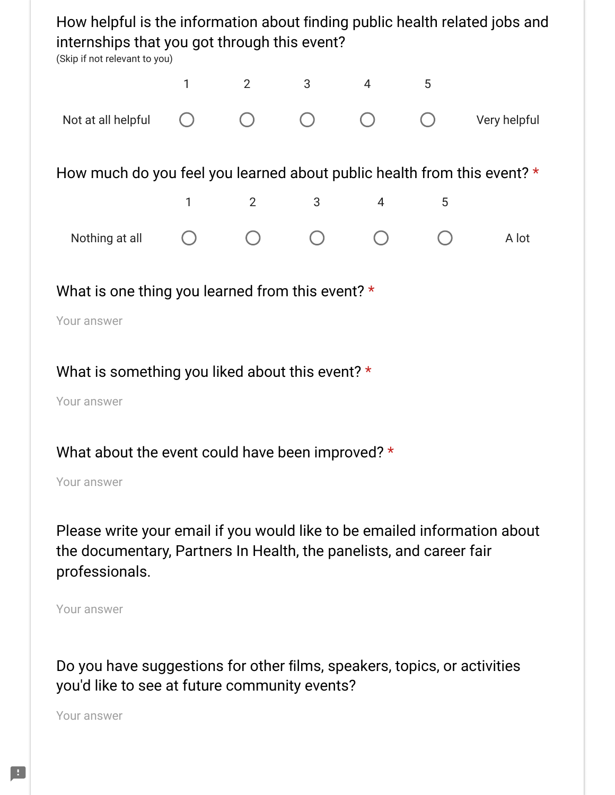| How helpful is the information about finding public health related jobs and<br>internships that you got through this event?<br>(Skip if not relevant to you) |   |                |   |                |   |              |  |
|--------------------------------------------------------------------------------------------------------------------------------------------------------------|---|----------------|---|----------------|---|--------------|--|
|                                                                                                                                                              | 1 | $\overline{2}$ | 3 | $\overline{4}$ | 5 |              |  |
| Not at all helpful                                                                                                                                           |   |                |   |                |   | Very helpful |  |
| How much do you feel you learned about public health from this event? $*$                                                                                    |   |                |   |                |   |              |  |
|                                                                                                                                                              | 1 | $\overline{2}$ | 3 | 4              | 5 |              |  |
| Nothing at all                                                                                                                                               |   |                |   |                |   | A lot        |  |
| What is one thing you learned from this event? $*$                                                                                                           |   |                |   |                |   |              |  |
| Your answer                                                                                                                                                  |   |                |   |                |   |              |  |
| What is something you liked about this event? $*$                                                                                                            |   |                |   |                |   |              |  |
| Your answer                                                                                                                                                  |   |                |   |                |   |              |  |

What about the event could have been improved? \*

Your answer

Please write your email if you would like to be emailed information about the documentary, Partners In Health, the panelists, and career fair professionals.

Your answer

Do you have suggestions for other films, speakers, topics, or activities you'd like to see at future community events?

Your answer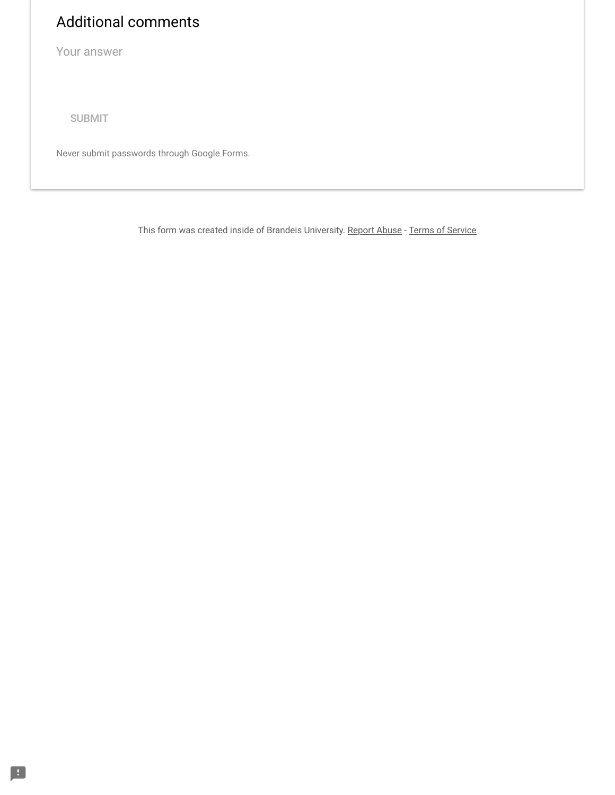## Additional comments

Your answer

SUBMIT

Never submit passwords through Google Forms.

This form was created inside of Brandeis University. [Report Abuse](https://docs.google.com/forms/d/e/1FAIpQLSfIPzhkV72vWYhPYbZxmkpSxExVJhvZYNcFYDDH6LxkI7Ackw/reportabuse?source=https://docs.google.com/forms/d/e/1FAIpQLSfIPzhkV72vWYhPYbZxmkpSxExVJhvZYNcFYDDH6LxkI7Ackw/viewform?usp%3Ddrive_web%26edit_requested%3Dtrue) - [Terms of Service](http://www.google.com/accounts/TOS)